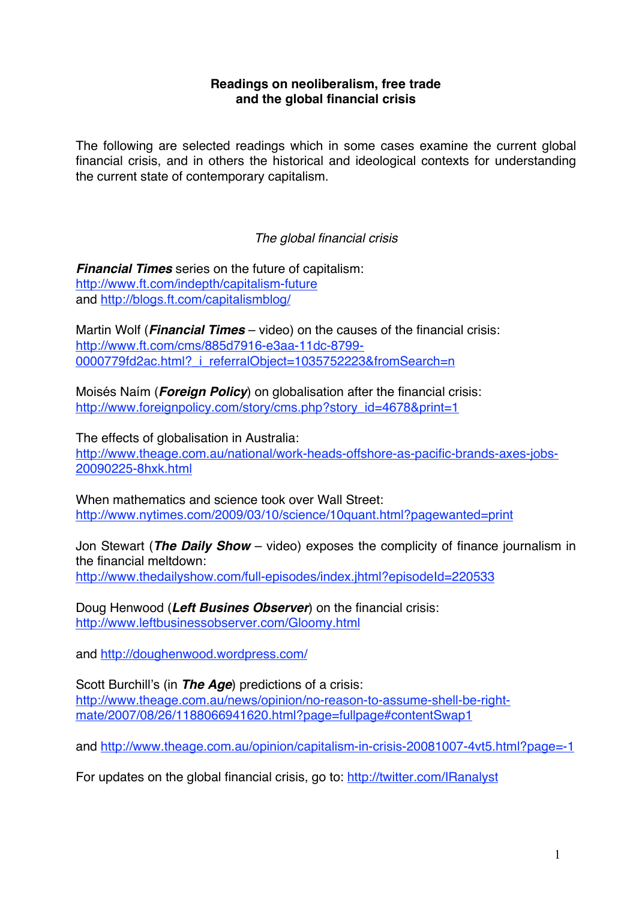## **Readings on neoliberalism, free trade and the global financial crisis**

The following are selected readings which in some cases examine the current global financial crisis, and in others the historical and ideological contexts for understanding the current state of contemporary capitalism.

# *The global financial crisis*

*Financial Times* series on the future of capitalism: http://www.ft.com/indepth/capitalism-future and http://blogs.ft.com/capitalismblog/

Martin Wolf (*Financial Times* – video) on the causes of the financial crisis: http://www.ft.com/cms/885d7916-e3aa-11dc-8799- 0000779fd2ac.html?\_i\_referralObject=1035752223&fromSearch=n

Moisés Naím (*Foreign Policy*) on globalisation after the financial crisis: http://www.foreignpolicy.com/story/cms.php?story\_id=4678&print=1

The effects of globalisation in Australia: http://www.theage.com.au/national/work-heads-offshore-as-pacific-brands-axes-jobs-20090225-8hxk.html

When mathematics and science took over Wall Street: http://www.nytimes.com/2009/03/10/science/10quant.html?pagewanted=print

Jon Stewart (*The Daily Show* – video) exposes the complicity of finance journalism in the financial meltdown: http://www.thedailyshow.com/full-episodes/index.jhtml?episodeId=220533

Doug Henwood (*Left Busines Observer*) on the financial crisis: http://www.leftbusinessobserver.com/Gloomy.html

and http://doughenwood.wordpress.com/

Scott Burchill's (in *The Age*) predictions of a crisis: http://www.theage.com.au/news/opinion/no-reason-to-assume-shell-be-rightmate/2007/08/26/1188066941620.html?page=fullpage#contentSwap1

and http://www.theage.com.au/opinion/capitalism-in-crisis-20081007-4vt5.html?page=-1

For updates on the global financial crisis, go to: http://twitter.com/IRanalyst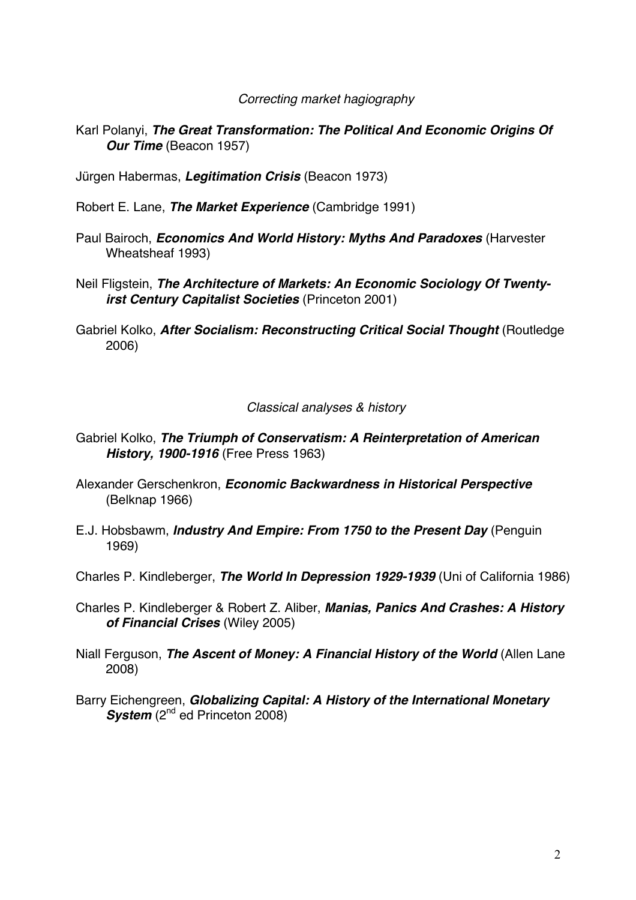*Correcting market hagiography*

- Karl Polanyi, *The Great Transformation: The Political And Economic Origins Of Our Time* (Beacon 1957)
- Jürgen Habermas, *Legitimation Crisis* (Beacon 1973)
- Robert E. Lane, *The Market Experience* (Cambridge 1991)
- Paul Bairoch, *Economics And World History: Myths And Paradoxes* (Harvester Wheatsheaf 1993)
- Neil Fligstein, *The Architecture of Markets: An Economic Sociology Of Twentyirst Century Capitalist Societies* (Princeton 2001)
- Gabriel Kolko, *After Socialism: Reconstructing Critical Social Thought* (Routledge 2006)

## *Classical analyses & history*

- Gabriel Kolko, *The Triumph of Conservatism: A Reinterpretation of American History, 1900-1916* (Free Press 1963)
- Alexander Gerschenkron, *Economic Backwardness in Historical Perspective* (Belknap 1966)
- E.J. Hobsbawm, *Industry And Empire: From 1750 to the Present Day* (Penguin 1969)
- Charles P. Kindleberger, *The World In Depression 1929-1939* (Uni of California 1986)
- Charles P. Kindleberger & Robert Z. Aliber, *Manias, Panics And Crashes: A History of Financial Crises* (Wiley 2005)
- Niall Ferguson, *The Ascent of Money: A Financial History of the World* (Allen Lane 2008)
- Barry Eichengreen, *Globalizing Capital: A History of the International Monetary System* (2<sup>nd</sup> ed Princeton 2008)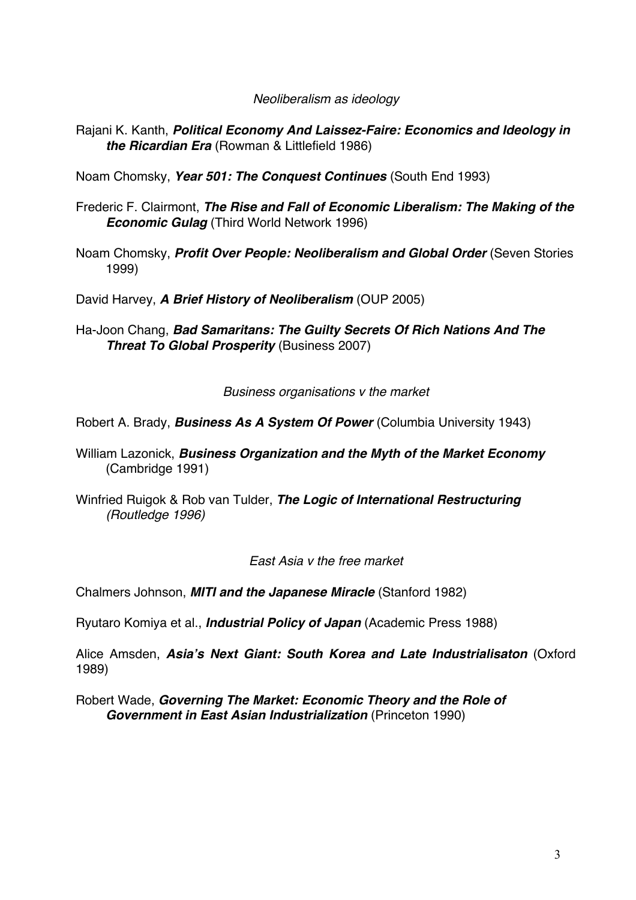*Neoliberalism as ideology*

Rajani K. Kanth, *Political Economy And Laissez-Faire: Economics and Ideology in the Ricardian Era* (Rowman & Littlefield 1986)

Noam Chomsky, *Year 501: The Conquest Continues* (South End 1993)

- Frederic F. Clairmont, *The Rise and Fall of Economic Liberalism: The Making of the Economic Gulag* (Third World Network 1996)
- Noam Chomsky, *Profit Over People: Neoliberalism and Global Order* (Seven Stories 1999)

David Harvey, *A Brief History of Neoliberalism* (OUP 2005)

Ha-Joon Chang, *Bad Samaritans: The Guilty Secrets Of Rich Nations And The Threat To Global Prosperity* (Business 2007)

*Business organisations v the market*

Robert A. Brady, *Business As A System Of Power* (Columbia University 1943)

- William Lazonick, *Business Organization and the Myth of the Market Economy* (Cambridge 1991)
- Winfried Ruigok & Rob van Tulder, *The Logic of International Restructuring (Routledge 1996)*

*East Asia v the free market*

Chalmers Johnson, *MITI and the Japanese Miracle* (Stanford 1982)

Ryutaro Komiya et al., *Industrial Policy of Japan* (Academic Press 1988)

Alice Amsden, *Asia***'***s Next Giant: South Korea and Late Industrialisaton* (Oxford 1989)

Robert Wade, *Governing The Market: Economic Theory and the Role of Government in East Asian Industrialization* (Princeton 1990)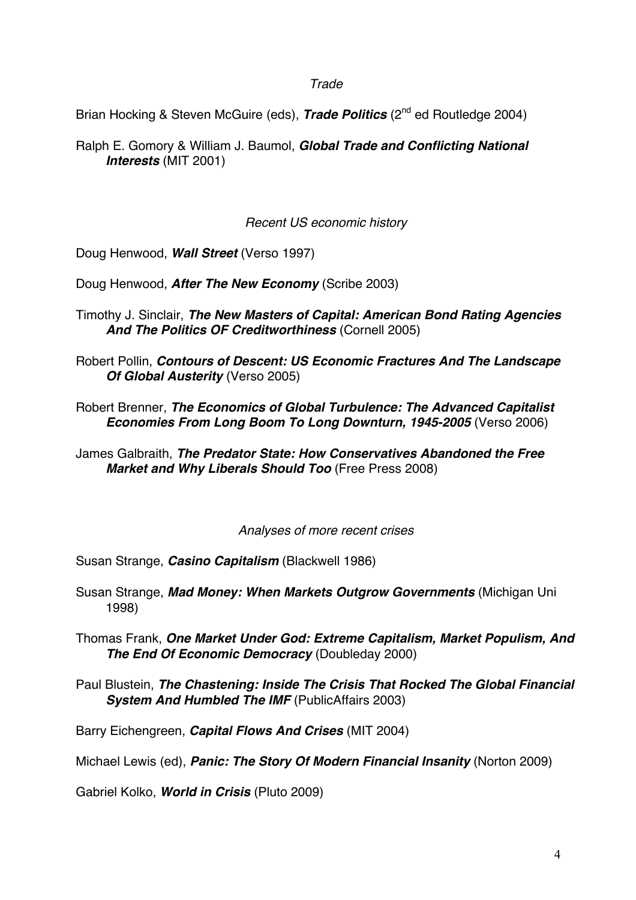## *Trade*

Brian Hocking & Steven McGuire (eds), *Trade Politics* (2nd ed Routledge 2004)

Ralph E. Gomory & William J. Baumol, *Global Trade and Conflicting National Interests* (MIT 2001)

*Recent US economic history*

Doug Henwood, *Wall Street* (Verso 1997)

Doug Henwood, *After The New Economy* (Scribe 2003)

- Timothy J. Sinclair, *The New Masters of Capital: American Bond Rating Agencies And The Politics OF Creditworthiness* (Cornell 2005)
- Robert Pollin, *Contours of Descent: US Economic Fractures And The Landscape Of Global Austerity* (Verso 2005)
- Robert Brenner, *The Economics of Global Turbulence: The Advanced Capitalist Economies From Long Boom To Long Downturn, 1945-2005* (Verso 2006)
- James Galbraith, *The Predator State: How Conservatives Abandoned the Free Market and Why Liberals Should Too* (Free Press 2008)

*Analyses of more recent crises*

Susan Strange, *Casino Capitalism* (Blackwell 1986)

- Susan Strange, *Mad Money: When Markets Outgrow Governments* (Michigan Uni 1998)
- Thomas Frank, *One Market Under God: Extreme Capitalism, Market Populism, And The End Of Economic Democracy* (Doubleday 2000)
- Paul Blustein, *The Chastening: Inside The Crisis That Rocked The Global Financial System And Humbled The IMF* (PublicAffairs 2003)

Barry Eichengreen, *Capital Flows And Crises* (MIT 2004)

Michael Lewis (ed), *Panic: The Story Of Modern Financial Insanity* (Norton 2009)

Gabriel Kolko, *World in Crisis* (Pluto 2009)